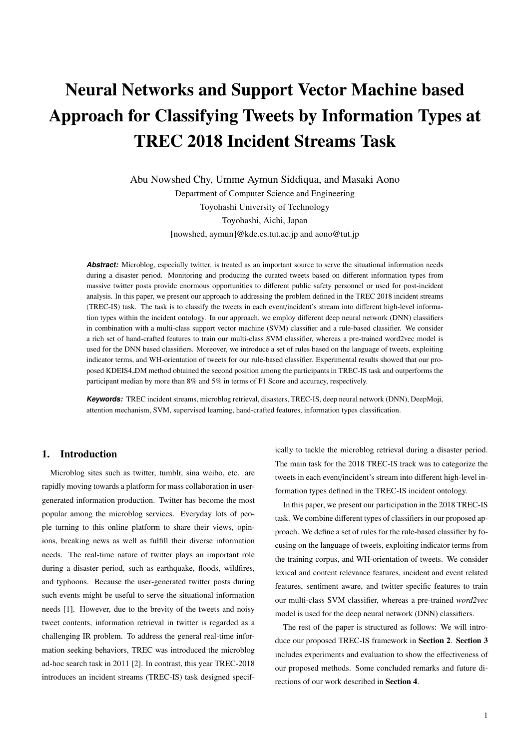# Neural Networks and Support Vector Machine based Approach for Classifying Tweets by Information Types at TREC 2018 Incident Streams Task

Abu Nowshed Chy, Umme Aymun Siddiqua, and Masaki Aono Department of Computer Science and Engineering Toyohashi University of Technology Toyohashi, Aichi, Japan [nowshed, aymun]@kde.cs.tut.ac.jp and aono@tut.jp

Abstract: Microblog, especially twitter, is treated as an important source to serve the situational information needs during a disaster period. Monitoring and producing the curated tweets based on different information types from massive twitter posts provide enormous opportunities to different public safety personnel or used for post-incident analysis. In this paper, we present our approach to addressing the problem defined in the TREC 2018 incident streams (TREC-IS) task. The task is to classify the tweets in each event/incident's stream into different high-level information types within the incident ontology. In our approach, we employ different deep neural network (DNN) classifiers in combination with a multi-class support vector machine (SVM) classifier and a rule-based classifier. We consider a rich set of hand-crafted features to train our multi-class SVM classifier, whereas a pre-trained word2vec model is used for the DNN based classifiers. Moreover, we introduce a set of rules based on the language of tweets, exploiting indicator terms, and WH-orientation of tweets for our rule-based classifier. Experimental results showed that our proposed KDEIS4 DM method obtained the second position among the participants in TREC-IS task and outperforms the participant median by more than 8% and 5% in terms of F1 Score and accuracy, respectively.

**Keywords:** TREC incident streams, microblog retrieval, disasters, TREC-IS, deep neural network (DNN), DeepMoji, attention mechanism, SVM, supervised learning, hand-crafted features, information types classification.

# 1. Introduction

Microblog sites such as twitter, tumblr, sina weibo, etc. are rapidly moving towards a platform for mass collaboration in usergenerated information production. Twitter has become the most popular among the microblog services. Everyday lots of people turning to this online platform to share their views, opinions, breaking news as well as fulfill their diverse information needs. The real-time nature of twitter plays an important role during a disaster period, such as earthquake, floods, wildfires, and typhoons. Because the user-generated twitter posts during such events might be useful to serve the situational information needs [1]. However, due to the brevity of the tweets and noisy tweet contents, information retrieval in twitter is regarded as a challenging IR problem. To address the general real-time information seeking behaviors, TREC was introduced the microblog ad-hoc search task in 2011 [2]. In contrast, this year TREC-2018 introduces an incident streams (TREC-IS) task designed specif-

ically to tackle the microblog retrieval during a disaster period. The main task for the 2018 TREC-IS track was to categorize the tweets in each event/incident's stream into different high-level information types defined in the TREC-IS incident ontology.

In this paper, we present our participation in the 2018 TREC-IS task. We combine different types of classifiers in our proposed approach. We define a set of rules for the rule-based classifier by focusing on the language of tweets, exploiting indicator terms from the training corpus, and WH-orientation of tweets. We consider lexical and content relevance features, incident and event related features, sentiment aware, and twitter specific features to train our multi-class SVM classifier, whereas a pre-trained *word2vec* model is used for the deep neural network (DNN) classifiers.

The rest of the paper is structured as follows: We will introduce our proposed TREC-IS framework in Section 2. Section 3 includes experiments and evaluation to show the effectiveness of our proposed methods. Some concluded remarks and future directions of our work described in Section 4.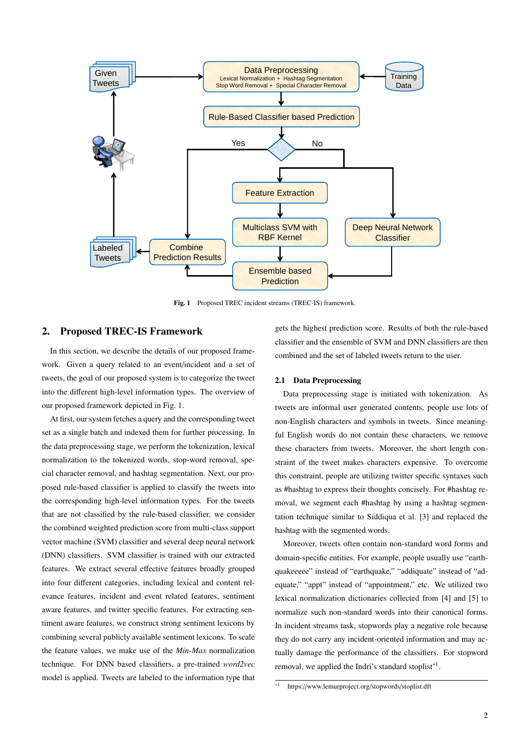

Fig. 1 Proposed TREC incident streams (TREC-IS) framework.

# 2. Proposed TREC-IS Framework

In this section, we describe the details of our proposed framework. Given a query related to an event/incident and a set of tweets, the goal of our proposed system is to categorize the tweet into the different high-level information types. The overview of our proposed framework depicted in Fig. 1.

At first, our system fetches a query and the corresponding tweet set as a single batch and indexed them for further processing. In the data preprocessing stage, we perform the tokenization, lexical normalization to the tokenized words, stop-word removal, special character removal, and hashtag segmentation. Next, our proposed rule-based classifier is applied to classify the tweets into the corresponding high-level information types. For the tweets that are not classified by the rule-based classifier, we consider the combined weighted prediction score from multi-class support vector machine (SVM) classifier and several deep neural network (DNN) classifiers. SVM classifier is trained with our extracted features. We extract several effective features broadly grouped into four different categories, including lexical and content relevance features, incident and event related features, sentiment aware features, and twitter specific features. For extracting sentiment aware features, we construct strong sentiment lexicons by combining several publicly available sentiment lexicons. To scale the feature values, we make use of the *Min-Max* normalization technique. For DNN based classifiers, a pre-trained *word2vec* model is applied. Tweets are labeled to the information type that

gets the highest prediction score. Results of both the rule-based classifier and the ensemble of SVM and DNN classifiers are then combined and the set of labeled tweets return to the user.

## 2.1 Data Preprocessing

Data preprocessing stage is initiated with tokenization. As tweets are informal user generated contents, people use lots of non-English characters and symbols in tweets. Since meaningful English words do not contain these characters, we remove these characters from tweets. Moreover, the short length constraint of the tweet makes characters expensive. To overcome this constraint, people are utilizing twitter specific syntaxes such as #hashtag to express their thoughts concisely. For #hashtag removal, we segment each #hashtag by using a hashtag segmentation technique similar to Siddiqua et al. [3] and replaced the hashtag with the segmented words.

Moreover, tweets often contain non-standard word forms and domain-specific entities. For example, people usually use "earthquakeeeee" instead of "earthquake," "addiquate" instead of "adequate," "appt" instead of "appointment," etc. We utilized two lexical normalization dictionaries collected from [4] and [5] to normalize such non-standard words into their canonical forms. In incident streams task, stopwords play a negative role because they do not carry any incident-oriented information and may actually damage the performance of the classifiers. For stopword removal, we applied the Indri's standard stoplist<sup>\*1</sup>.

<sup>\*1</sup> https://www.lemurproject.org/stopwords/stoplist.dft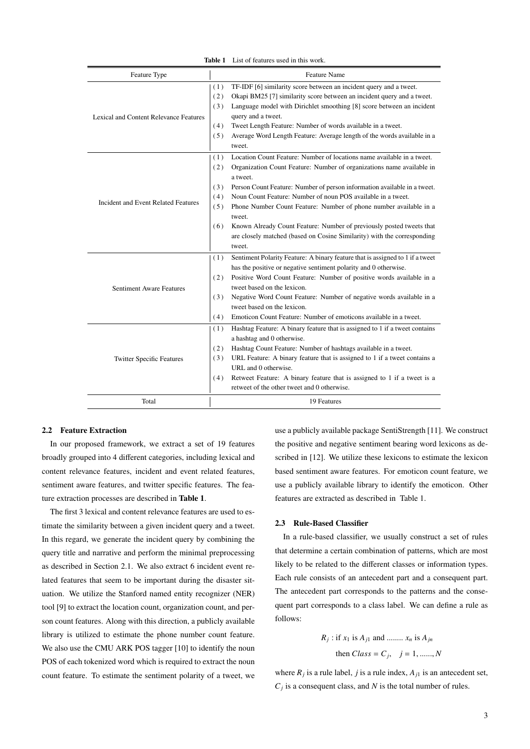| Feature Type                               | <b>Feature Name</b>                                                                                                                                                                                                                                                                                                                                                                                                                                                                                                                                                                           |  |  |  |  |
|--------------------------------------------|-----------------------------------------------------------------------------------------------------------------------------------------------------------------------------------------------------------------------------------------------------------------------------------------------------------------------------------------------------------------------------------------------------------------------------------------------------------------------------------------------------------------------------------------------------------------------------------------------|--|--|--|--|
| Lexical and Content Relevance Features     | TF-IDF [6] similarity score between an incident query and a tweet.<br>(1)<br>(2)<br>Okapi BM25 [7] similarity score between an incident query and a tweet.<br>Language model with Dirichlet smoothing [8] score between an incident<br>(3)<br>query and a tweet.<br>(4)<br>Tweet Length Feature: Number of words available in a tweet.<br>(5)<br>Average Word Length Feature: Average length of the words available in a<br>tweet.                                                                                                                                                            |  |  |  |  |
| <b>Incident and Event Related Features</b> | Location Count Feature: Number of locations name available in a tweet.<br>(1)<br>(2)<br>Organization Count Feature: Number of organizations name available in<br>a tweet.<br>Person Count Feature: Number of person information available in a tweet.<br>(3)<br>Noun Count Feature: Number of noun POS available in a tweet.<br>(4)<br>(5)<br>Phone Number Count Feature: Number of phone number available in a<br>tweet.<br>Known Already Count Feature: Number of previously posted tweets that<br>(6)<br>are closely matched (based on Cosine Similarity) with the corresponding<br>tweet. |  |  |  |  |
| <b>Sentiment Aware Features</b>            | Sentiment Polarity Feature: A binary feature that is assigned to 1 if a tweet<br>(1)<br>has the positive or negative sentiment polarity and 0 otherwise.<br>Positive Word Count Feature: Number of positive words available in a<br>(2)<br>tweet based on the lexicon.<br>Negative Word Count Feature: Number of negative words available in a<br>(3)<br>tweet based on the lexicon.<br>Emoticon Count Feature: Number of emoticons available in a tweet.<br>(4)                                                                                                                              |  |  |  |  |
| <b>Twitter Specific Features</b>           | Hashtag Feature: A binary feature that is assigned to 1 if a tweet contains<br>(1)<br>a hashtag and 0 otherwise.<br>(2)<br>Hashtag Count Feature: Number of hashtags available in a tweet.<br>URL Feature: A binary feature that is assigned to 1 if a tweet contains a<br>(3)<br>URL and 0 otherwise.<br>Retweet Feature: A binary feature that is assigned to 1 if a tweet is a<br>(4)<br>retweet of the other tweet and 0 otherwise.                                                                                                                                                       |  |  |  |  |
| Total                                      | 19 Features                                                                                                                                                                                                                                                                                                                                                                                                                                                                                                                                                                                   |  |  |  |  |

Table 1 List of features used in this work.

## 2.2 Feature Extraction

In our proposed framework, we extract a set of 19 features broadly grouped into 4 different categories, including lexical and content relevance features, incident and event related features, sentiment aware features, and twitter specific features. The feature extraction processes are described in Table 1.

The first 3 lexical and content relevance features are used to estimate the similarity between a given incident query and a tweet. In this regard, we generate the incident query by combining the query title and narrative and perform the minimal preprocessing as described in Section 2.1. We also extract 6 incident event related features that seem to be important during the disaster situation. We utilize the Stanford named entity recognizer (NER) tool [9] to extract the location count, organization count, and person count features. Along with this direction, a publicly available library is utilized to estimate the phone number count feature. We also use the CMU ARK POS tagger [10] to identify the noun POS of each tokenized word which is required to extract the noun count feature. To estimate the sentiment polarity of a tweet, we use a publicly available package SentiStrength [11]. We construct the positive and negative sentiment bearing word lexicons as described in [12]. We utilize these lexicons to estimate the lexicon based sentiment aware features. For emoticon count feature, we use a publicly available library to identify the emoticon. Other features are extracted as described in Table 1.

#### 2.3 Rule-Based Classifier

In a rule-based classifier, we usually construct a set of rules that determine a certain combination of patterns, which are most likely to be related to the different classes or information types. Each rule consists of an antecedent part and a consequent part. The antecedent part corresponds to the patterns and the consequent part corresponds to a class label. We can define a rule as follows:

$$
R_j
$$
: if  $x_1$  is  $A_{j1}$  and ....... $x_n$  is  $A_{jn}$   
then Class =  $C_j$ ,  $j = 1, ......., N$ 

where  $R_j$  is a rule label, *j* is a rule index,  $A_{j1}$  is an antecedent set,  $C_j$  is a consequent class, and *N* is the total number of rules.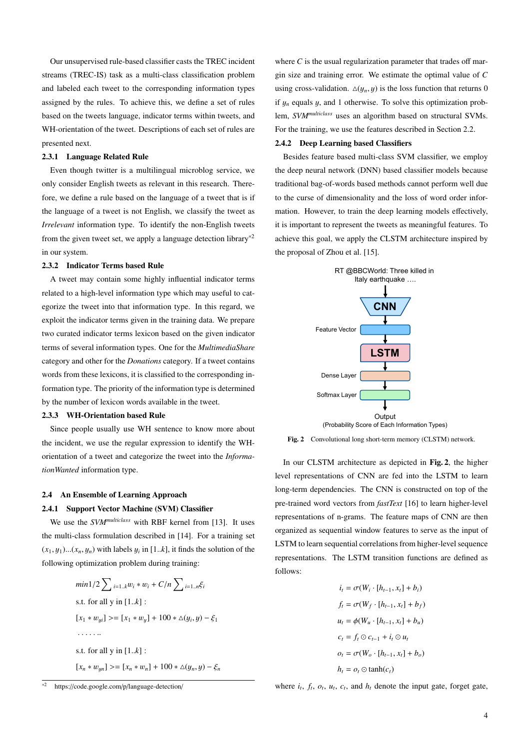Our unsupervised rule-based classifier casts the TREC incident streams (TREC-IS) task as a multi-class classification problem and labeled each tweet to the corresponding information types assigned by the rules. To achieve this, we define a set of rules based on the tweets language, indicator terms within tweets, and WH-orientation of the tweet. Descriptions of each set of rules are presented next.

#### 2.3.1 Language Related Rule

Even though twitter is a multilingual microblog service, we only consider English tweets as relevant in this research. Therefore, we define a rule based on the language of a tweet that is if the language of a tweet is not English, we classify the tweet as *Irrelevant* information type. To identify the non-English tweets from the given tweet set, we apply a language detection library\*2 in our system.

## 2.3.2 Indicator Terms based Rule

A tweet may contain some highly influential indicator terms related to a high-level information type which may useful to categorize the tweet into that information type. In this regard, we exploit the indicator terms given in the training data. We prepare two curated indicator terms lexicon based on the given indicator terms of several information types. One for the *MultimediaShare* category and other for the *Donations* category. If a tweet contains words from these lexicons, it is classified to the corresponding information type. The priority of the information type is determined by the number of lexicon words available in the tweet.

# 2.3.3 WH-Orientation based Rule

Since people usually use WH sentence to know more about the incident, we use the regular expression to identify the WHorientation of a tweet and categorize the tweet into the *InformationWanted* information type.

#### 2.4 An Ensemble of Learning Approach

#### 2.4.1 Support Vector Machine (SVM) Classifier

We use the *SVMmulticlass* with RBF kernel from [13]. It uses the multi-class formulation described in [14]. For a training set  $(x_1, y_1)$ ... $(x_n, y_n)$  with labels  $y_i$  in [1.*k*], it finds the solution of the following optimization problem during training:

$$
min1/2 \sum_{i=1..k} w_i * w_i + C/n \sum_{i=1..n} \xi_i
$$
  
s.t. for all y in [1..k]:  

$$
[x_1 * w_{yi}] > = [x_1 * w_y] + 100 * \Delta(y_i, y) - \xi_1
$$
  
........  
s.t. for all y in [1..k]:  

$$
[x_n * w_{yn}] > = [x_n * w_n] + 100 * \Delta(y_n, y) - \xi_n
$$



where *C* is the usual regularization parameter that trades off margin size and training error. We estimate the optimal value of *C* using cross-validation.  $\Delta(y_n, y)$  is the loss function that returns 0 if  $y_n$  equals y, and 1 otherwise. To solve this optimization problem, *SVMmulticlass* uses an algorithm based on structural SVMs. For the training, we use the features described in Section 2.2.

## 2.4.2 Deep Learning based Classifiers

Besides feature based multi-class SVM classifier, we employ the deep neural network (DNN) based classifier models because traditional bag-of-words based methods cannot perform well due to the curse of dimensionality and the loss of word order information. However, to train the deep learning models effectively, it is important to represent the tweets as meaningful features. To achieve this goal, we apply the CLSTM architecture inspired by the proposal of Zhou et al. [15].



Fig. 2 Convolutional long short-term memory (CLSTM) network.

In our CLSTM architecture as depicted in Fig. 2, the higher level representations of CNN are fed into the LSTM to learn long-term dependencies. The CNN is constructed on top of the pre-trained word vectors from *fastText* [16] to learn higher-level representations of n-grams. The feature maps of CNN are then organized as sequential window features to serve as the input of LSTM to learn sequential correlations from higher-level sequence representations. The LSTM transition functions are defined as follows:

$$
i_t = \sigma(W_i \cdot [h_{t-1}, x_t] + b_i)
$$
  
\n
$$
f_t = \sigma(W_f \cdot [h_{t-1}, x_t] + b_f)
$$
  
\n
$$
u_t = \phi(W_u \cdot [h_{t-1}, x_t] + b_u)
$$
  
\n
$$
c_t = f_t \odot c_{t-1} + i_t \odot u_t
$$
  
\n
$$
o_t = \sigma(W_o \cdot [h_{t-1}, x_t] + b_o)
$$
  
\n
$$
h_t = o_t \odot \tanh(c_t)
$$

where  $i_t$ ,  $f_t$ ,  $o_t$ ,  $u_t$ ,  $c_t$ , and  $h_t$  denote the input gate, forget gate,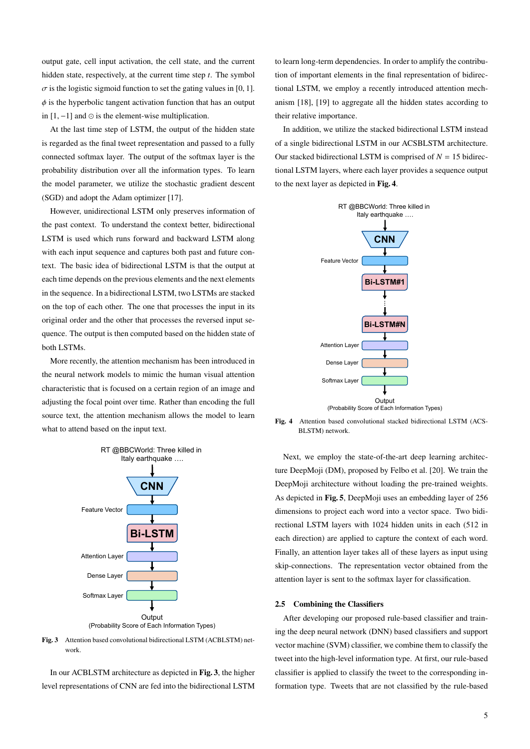output gate, cell input activation, the cell state, and the current hidden state, respectively, at the current time step *t*. The symbol  $\sigma$  is the logistic sigmoid function to set the gating values in [0, 1].  $\phi$  is the hyperbolic tangent activation function that has an output in  $[1, -1]$  and  $\odot$  is the element-wise multiplication.

At the last time step of LSTM, the output of the hidden state is regarded as the final tweet representation and passed to a fully connected softmax layer. The output of the softmax layer is the probability distribution over all the information types. To learn the model parameter, we utilize the stochastic gradient descent (SGD) and adopt the Adam optimizer [17].

However, unidirectional LSTM only preserves information of the past context. To understand the context better, bidirectional LSTM is used which runs forward and backward LSTM along with each input sequence and captures both past and future context. The basic idea of bidirectional LSTM is that the output at each time depends on the previous elements and the next elements in the sequence. In a bidirectional LSTM, two LSTMs are stacked on the top of each other. The one that processes the input in its original order and the other that processes the reversed input sequence. The output is then computed based on the hidden state of both LSTMs.

More recently, the attention mechanism has been introduced in the neural network models to mimic the human visual attention characteristic that is focused on a certain region of an image and adjusting the focal point over time. Rather than encoding the full source text, the attention mechanism allows the model to learn what to attend based on the input text.



Fig. 3 Attention based convolutional bidirectional LSTM (ACBLSTM) network.

In our ACBLSTM architecture as depicted in Fig. 3, the higher level representations of CNN are fed into the bidirectional LSTM

to learn long-term dependencies. In order to amplify the contribution of important elements in the final representation of bidirectional LSTM, we employ a recently introduced attention mechanism [18], [19] to aggregate all the hidden states according to their relative importance.

In addition, we utilize the stacked bidirectional LSTM instead of a single bidirectional LSTM in our ACSBLSTM architecture. Our stacked bidirectional LSTM is comprised of  $N = 15$  bidirectional LSTM layers, where each layer provides a sequence output to the next layer as depicted in Fig. 4.



Fig. 4 Attention based convolutional stacked bidirectional LSTM (ACS-BLSTM) network.

Next, we employ the state-of-the-art deep learning architecture DeepMoji (DM), proposed by Felbo et al. [20]. We train the DeepMoji architecture without loading the pre-trained weights. As depicted in Fig. 5, DeepMoji uses an embedding layer of 256 dimensions to project each word into a vector space. Two bidirectional LSTM layers with 1024 hidden units in each (512 in each direction) are applied to capture the context of each word. Finally, an attention layer takes all of these layers as input using skip-connections. The representation vector obtained from the attention layer is sent to the softmax layer for classification.

#### 2.5 Combining the Classifiers

After developing our proposed rule-based classifier and training the deep neural network (DNN) based classifiers and support vector machine (SVM) classifier, we combine them to classify the tweet into the high-level information type. At first, our rule-based classifier is applied to classify the tweet to the corresponding information type. Tweets that are not classified by the rule-based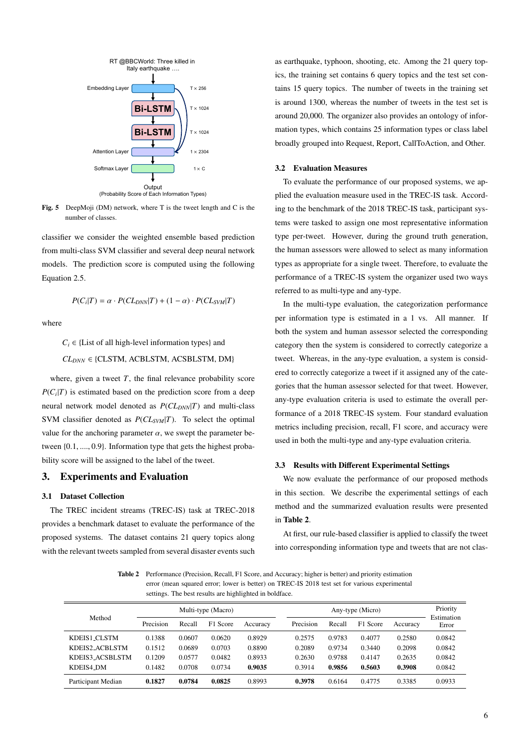

Fig. 5 DeepMoji (DM) network, where T is the tweet length and C is the number of classes.

classifier we consider the weighted ensemble based prediction from multi-class SVM classifier and several deep neural network models. The prediction score is computed using the following Equation 2.5.

$$
P(C_i|T) = \alpha \cdot P(CL_{DNN}|T) + (1 - \alpha) \cdot P(CL_{SVM}|T)
$$

where

 $C_i \in \{List\ of\ all\ high-level\ information\ types\}$  and  $CL_{DNN} \in \{CLSTM, ACBLSTM, ACSBLSTM, DM\}$ 

where, given a tweet  $T$ , the final relevance probability score  $P(C_i|T)$  is estimated based on the prediction score from a deep neural network model denoted as  $P(CL_{DNN}|T)$  and multi-class SVM classifier denoted as *P*(*CLSVM*|*T*). To select the optimal value for the anchoring parameter  $\alpha$ , we swept the parameter between {0.1, ...., <sup>0</sup>.9}. Information type that gets the highest probability score will be assigned to the label of the tweet.

# 3. Experiments and Evaluation

## 3.1 Dataset Collection

The TREC incident streams (TREC-IS) task at TREC-2018 provides a benchmark dataset to evaluate the performance of the proposed systems. The dataset contains 21 query topics along with the relevant tweets sampled from several disaster events such

as earthquake, typhoon, shooting, etc. Among the 21 query topics, the training set contains 6 query topics and the test set contains 15 query topics. The number of tweets in the training set is around 1300, whereas the number of tweets in the test set is around 20,000. The organizer also provides an ontology of information types, which contains 25 information types or class label broadly grouped into Request, Report, CallToAction, and Other.

#### 3.2 Evaluation Measures

To evaluate the performance of our proposed systems, we applied the evaluation measure used in the TREC-IS task. According to the benchmark of the 2018 TREC-IS task, participant systems were tasked to assign one most representative information type per-tweet. However, during the ground truth generation, the human assessors were allowed to select as many information types as appropriate for a single tweet. Therefore, to evaluate the performance of a TREC-IS system the organizer used two ways referred to as multi-type and any-type.

In the multi-type evaluation, the categorization performance per information type is estimated in a 1 vs. All manner. If both the system and human assessor selected the corresponding category then the system is considered to correctly categorize a tweet. Whereas, in the any-type evaluation, a system is considered to correctly categorize a tweet if it assigned any of the categories that the human assessor selected for that tweet. However, any-type evaluation criteria is used to estimate the overall performance of a 2018 TREC-IS system. Four standard evaluation metrics including precision, recall, F1 score, and accuracy were used in both the multi-type and any-type evaluation criteria.

#### 3.3 Results with Different Experimental Settings

We now evaluate the performance of our proposed methods in this section. We describe the experimental settings of each method and the summarized evaluation results were presented in Table 2.

At first, our rule-based classifier is applied to classify the tweet into corresponding information type and tweets that are not clas-

Table 2 Performance (Precision, Recall, F1 Score, and Accuracy; higher is better) and priority estimation error (mean squared error; lower is better) on TREC-IS 2018 test set for various experimental settings. The best results are highlighted in boldface.

| Method<br>KDEIS1 CLSTM | Multi-type (Macro) |        |          | Any-type (Micro) |           |        |          | Priority |                     |
|------------------------|--------------------|--------|----------|------------------|-----------|--------|----------|----------|---------------------|
|                        | Precision          | Recall | F1 Score | Accuracy         | Precision | Recall | F1 Score | Accuracy | Estimation<br>Error |
|                        | 0.1388             | 0.0607 | 0.0620   | 0.8929           | 0.2575    | 0.9783 | 0.4077   | 0.2580   | 0.0842              |
| KDEIS2_ACBLSTM         | 0.1512             | 0.0689 | 0.0703   | 0.8890           | 0.2089    | 0.9734 | 0.3440   | 0.2098   | 0.0842              |
| KDEIS3 ACSBLSTM        | 0.1209             | 0.0577 | 0.0482   | 0.8933           | 0.2630    | 0.9788 | 0.4147   | 0.2635   | 0.0842              |
| KDEIS4_DM              | 0.1482             | 0.0708 | 0.0734   | 0.9035           | 0.3914    | 0.9856 | 0.5603   | 0.3908   | 0.0842              |
| Participant Median     | 0.1827             | 0.0784 | 0.0825   | 0.8993           | 0.3978    | 0.6164 | 0.4775   | 0.3385   | 0.0933              |